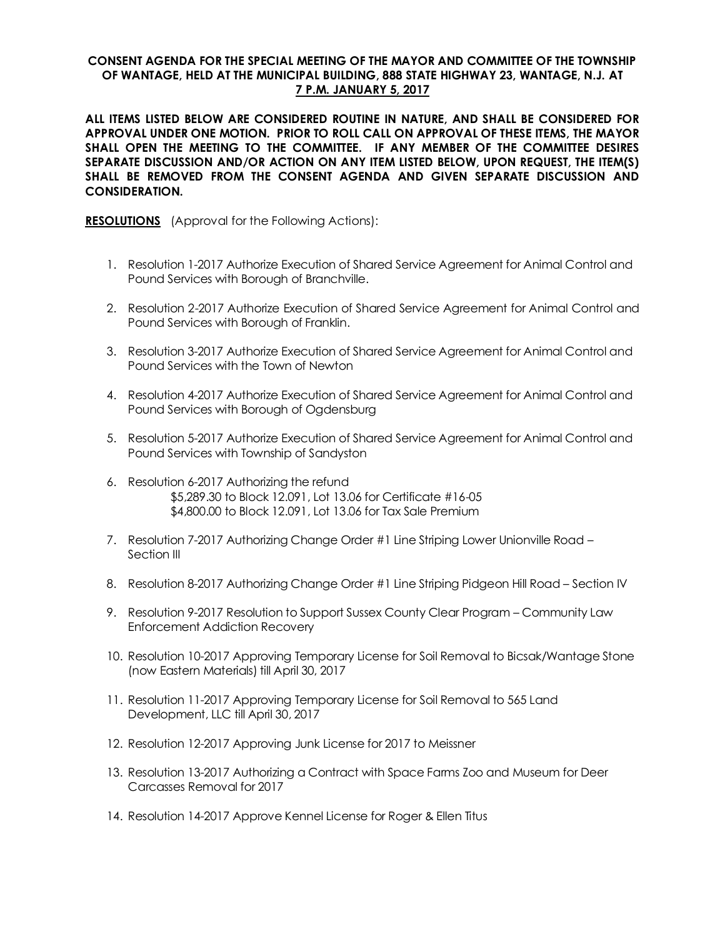## **CONSENT AGENDA FOR THE SPECIAL MEETING OF THE MAYOR AND COMMITTEE OF THE TOWNSHIP OF WANTAGE, HELD AT THE MUNICIPAL BUILDING, 888 STATE HIGHWAY 23, WANTAGE, N.J. AT 7 P.M. JANUARY 5, 2017**

**ALL ITEMS LISTED BELOW ARE CONSIDERED ROUTINE IN NATURE, AND SHALL BE CONSIDERED FOR APPROVAL UNDER ONE MOTION. PRIOR TO ROLL CALL ON APPROVAL OF THESE ITEMS, THE MAYOR SHALL OPEN THE MEETING TO THE COMMITTEE. IF ANY MEMBER OF THE COMMITTEE DESIRES SEPARATE DISCUSSION AND/OR ACTION ON ANY ITEM LISTED BELOW, UPON REQUEST, THE ITEM(S) SHALL BE REMOVED FROM THE CONSENT AGENDA AND GIVEN SEPARATE DISCUSSION AND CONSIDERATION.**

**RESOLUTIONS** (Approval for the Following Actions):

- 1. Resolution 1-2017 Authorize Execution of Shared Service Agreement for Animal Control and Pound Services with Borough of Branchville.
- 2. Resolution 2-2017 Authorize Execution of Shared Service Agreement for Animal Control and Pound Services with Borough of Franklin.
- 3. Resolution 3-2017 Authorize Execution of Shared Service Agreement for Animal Control and Pound Services with the Town of Newton
- 4. Resolution 4-2017 Authorize Execution of Shared Service Agreement for Animal Control and Pound Services with Borough of Ogdensburg
- 5. Resolution 5-2017 Authorize Execution of Shared Service Agreement for Animal Control and Pound Services with Township of Sandyston
- 6. Resolution 6-2017 Authorizing the refund \$5,289.30 to Block 12.091, Lot 13.06 for Certificate #16-05 \$4,800.00 to Block 12.091, Lot 13.06 for Tax Sale Premium
- 7. Resolution 7-2017 Authorizing Change Order #1 Line Striping Lower Unionville Road Section III
- 8. Resolution 8-2017 Authorizing Change Order #1 Line Striping Pidgeon Hill Road Section IV
- 9. Resolution 9-2017 Resolution to Support Sussex County Clear Program Community Law Enforcement Addiction Recovery
- 10. Resolution 10-2017 Approving Temporary License for Soil Removal to Bicsak/Wantage Stone (now Eastern Materials) till April 30, 2017
- 11. Resolution 11-2017 Approving Temporary License for Soil Removal to 565 Land Development, LLC till April 30, 2017
- 12. Resolution 12-2017 Approving Junk License for 2017 to Meissner
- 13. Resolution 13-2017 Authorizing a Contract with Space Farms Zoo and Museum for Deer Carcasses Removal for 2017
- 14. Resolution 14-2017 Approve Kennel License for Roger & Ellen Titus